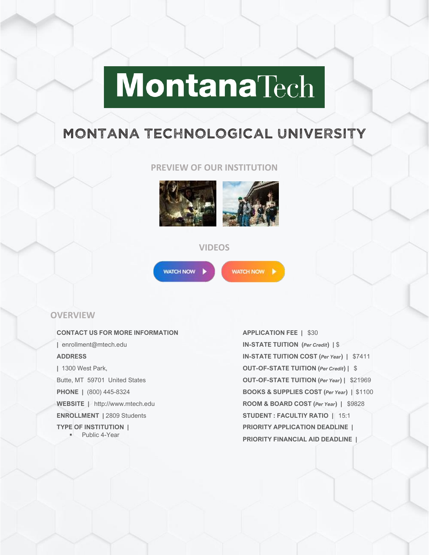# **MontanaTech**

# MONTANA TECHNOLOGICAL UNIVERSITY

#### **PREVIEW OF OUR INSTITUTION**



#### **VIDEOS**



WATCH NOW

#### **OVERVIEW**

**CONTACT US FOR MORE INFORMATION |** enrollment@mtech.edu **ADDRESS |** 1300 West Park, Butte, MT 59701 United States **PHONE |** (800) 445-8324 **WEBSITE |** http://www.mtech.edu **ENROLLMENT |** 2809 Students **TYPE OF INSTITUTION |** ■ Public 4-Year

**APPLICATION FEE |** \$30 **IN-STATE TUITION (***Per Credit***) |** \$ **IN-STATE TUITION COST (***Per Year***) |** \$7411 **OUT-OF-STATE TUITION (***Per Credit***) |** \$ **OUT-OF-STATE TUITION (***Per Year***) |** \$21969 **BOOKS & SUPPLIES COST (***Per Year***) |** \$1100 **ROOM & BOARD COST (***Per Year***) |** \$9828 **STUDENT : FACULTIY RATIO |** 15:1 **PRIORITY APPLICATION DEADLINE | PRIORITY FINANCIAL AID DEADLINE |**